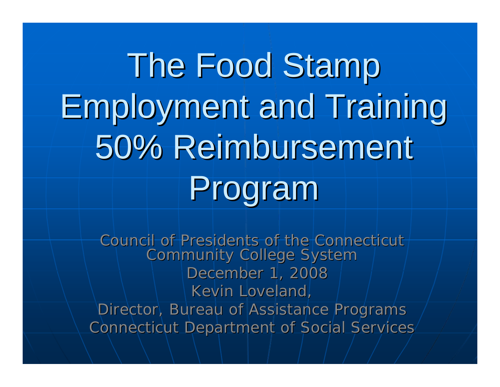The Food Stamp Employment and Training Employment and Training 50% Reimbursement Program

Council of Presidents of the Connecticut Community College System December 1, 2008 Kevin Loveland, Director, Bureau of Assistance Programs Connecticut Department of Social Services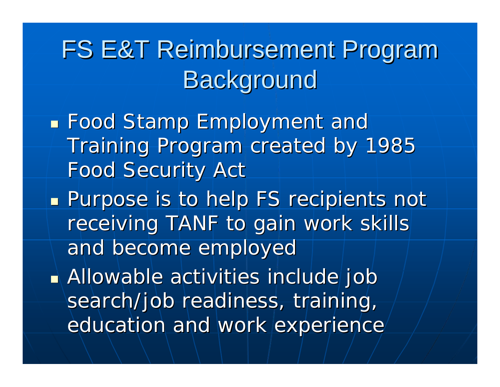FS E&T Reimbursement Program **Background** 

**Food Stamp Employment and Food Stamp Employment and** Training Program created by 1985 Food Security Act

**Purpose is to help FS recipients not** receiving TANF to gain work skills and become employed and become employed

**Allowable activities include job** search/job readiness, training, education and work experience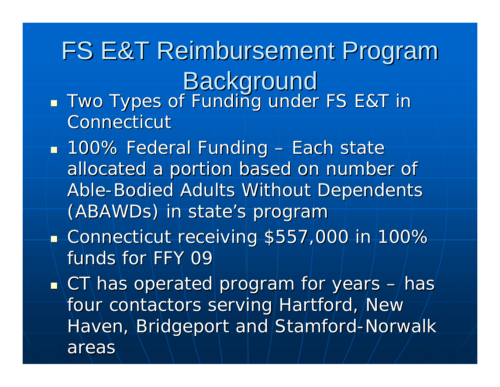FS E&T Reimbursement Program Background  $\blacksquare$  Two Types of Funding under FS E&T in

Connecticut

 $\mathbb{Z}^2$ 

- $\mathbb{R}^2$  $\blacksquare$  100% Federal Funding – Each state allocated a portion based on number of Able-Bodied Adults Without Dependents (ABAWDs) in state's program  $\mathbb{R}^2$  $\blacksquare$  Connecticut receiving \$557,000 in 100%  $\blacksquare$ funds for FFY 09  $\mathbb{R}^2$  $\blacksquare$  CT has operated program for years  $\blacksquare$  $-$ has $^{\prime}$ four contactors serving Hartford, New Haven, Bridgeport and Stamford-Norwalk
	- areas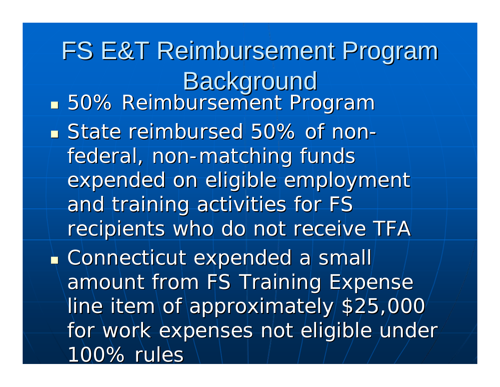FS E&T Reimbursement Program **Background 50% Reimbursement Program State reimbursed 50% of non State reimbursed 50% of non**  federal, non-matching funds expended on eligible employment and training activities for FS recipients who do not receive TFA  $\blacksquare$  Connecticut expended a small amount from FS Training Expense line item of approximately \$25,000 for work expenses not eligible under 100% rules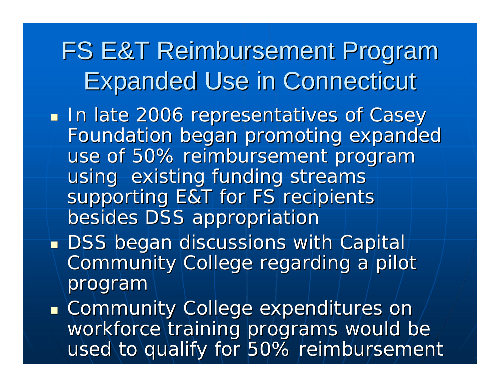FS E&T Reimbursement Program Expanded Use in Connecticut Expanded Use in Connecticut у. **In late 2006 representatives of Casey** Foundation began promoting expanded Foundation began promoting expanded use of 50% reimbursement program using existing funding streams supporting E&T for FS recipients besides DSS appropriation  $\textcolor{red}{\bullet}$  DSS began discussions with Capital $\dag$ Community College regarding a pilot program

a.  $\blacksquare$  Community College expenditures on workforce training programs would be used to qualify for 50% reimbursement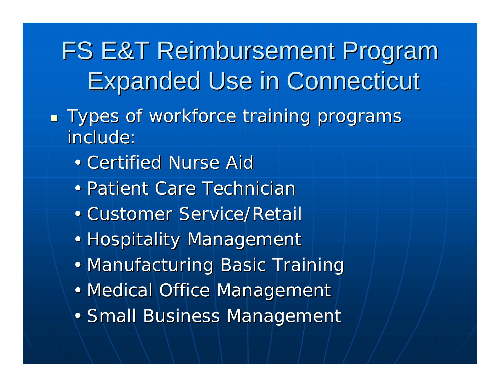FS E&T Reimbursement Program Expanded Use in Connecticut Expanded Use in Connecticut

- $\mathbb{Z}^2$ **Types of workforce training programs** include:
	- Certified Nurse Aid
	- Patient Care Technician
	- Customer Service/Retail
	- Hospitality Management
	- Manufacturing Basic Training
	- Medical Office Management
	- Small Business Management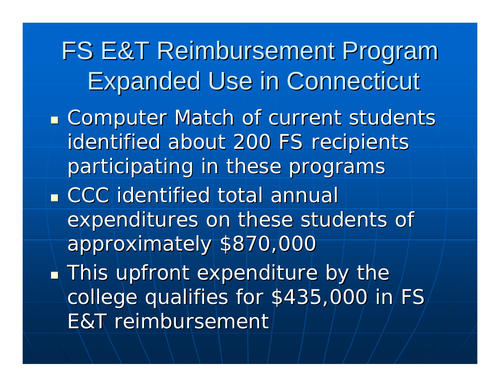FS E&T Reimbursement Program Expanded Use in Connecticut Expanded Use in Connecticut **Examputer Match of current students** identified about 200 FS recipients participating in these programs **CCC** identified total annual expenditures on these students of approximately \$870,000  $\blacksquare$  This upfront expenditure by the college qualifies for \$435,000 in FS E&T reimbursement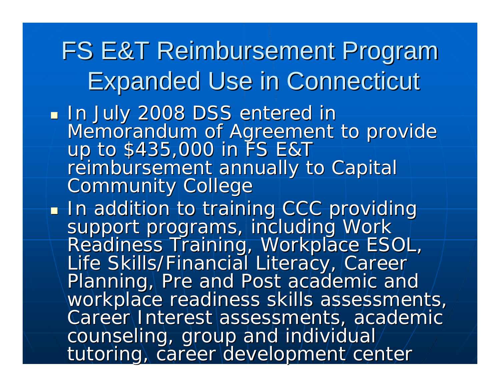## FS E&T Reimbursement Program Expanded Use in Connecticut Expanded Use in Connecticut

- In July 2008 DSS entered in Memorandum of Agreement to provide<br>up to \$435,000 in FS E&T<br>reimbursement annually to Capital<br>Community College
- . In addition to training CCC providing support programs, including Work<br>Readiness Training, Workplace ESOL,<br>Life Skills/Financial Literacy, Career<br>Planning, Pre and Post academic and<br>workplace readiness skills assessments,<br>Career Interest assessments, academic counseling, group and individual tutoring, career development center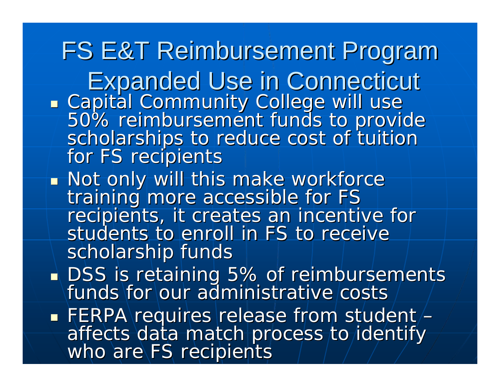FS E&T Reimbursement Program Expanded Use in Connecticut Expanded Use in Connecticut Capital Community College will use 50% reimbursement funds to provide<br>scholarships to reduce cost of tuition<br>for FS recipients **Not only will this make workforce** training more accessible for FS<br>recipients, it creates an incentive for students to enroll in FS to receive scholarship funds у. DSS is retaining 5% of reimbursements<br>| funds for our administrative costs a.  $\blacksquare$  FERPA requires release from student/ – affects data match process to identify<br>who are FS recipients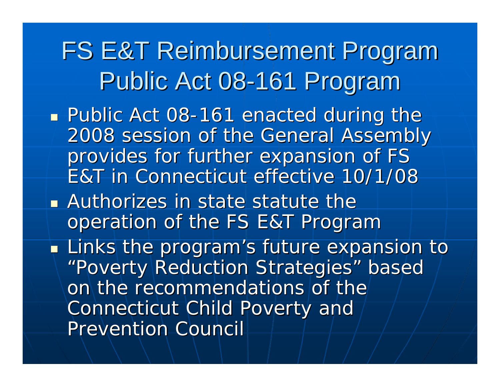- **Public Act 08-161 enacted during the** 2008 session of the General Assembly 2008 session of the General Assembly provides for further expansion of FS E&T in Connecticut effective 10/1/08 E&T in Connecticut effective 10/1/08
- **Authorizes in state statute the**  $\blacksquare$ operation of the FS E&T Program
- у.  $\blacksquare$  Links the program's future expansion to  $\blacksquare$ "Poverty Reduction Strategies" based on the recommendations of the Connecticut Child Poverty and Prevention Council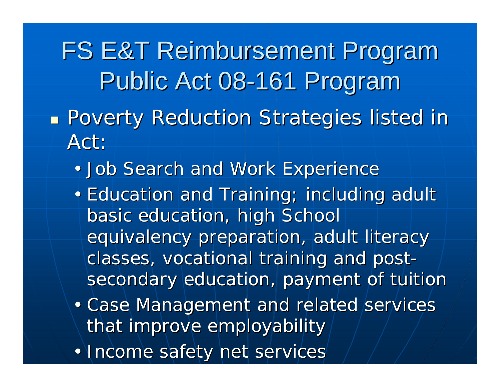FS E&T Reimbursement Program Public Act 08-161 Program **Poverty Reduction Strategies listed in** Act:

- $\bullet$  . • Job Search and Work Experience
- Education and Training; including adult basic education, high School equivalency preparation, adult literacy classes, vocational training and postsecondary education, payment of tuition
- Case Management and related services that improve employability
- Income safety net services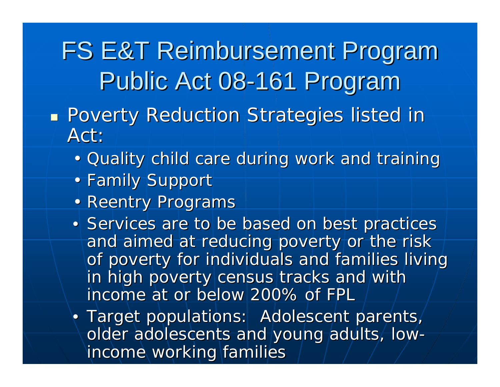- у. **Poverty Reduction Strategies listed in** Act:
	- Quality child care during work and training
	- Family Support
	- Reentry Programs
	- Services are to be based on best practices and aimed at reducing poverty or the risk of poverty for individuals and families living in high poverty census tracks and with income at or below 200% of FPL income at or below 200% of FPL
	- Target populations: Adolescent parents, older adolescents and young adults, low- income working families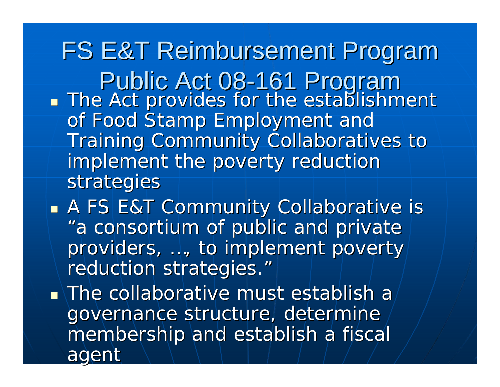FS E&T Reimbursement Program Public Act 08-161 Program у. **The Act provides for the establishment** of Food Stamp Employment and Training Community Collaboratives to implement the poverty reduction strategies

у. **• A FS E&T Community Collaborative is-**"a consortium of public and private providers, ..., to implement poverty/  $\,$ reduction strategies."

 $\blacksquare$  The collaborative must establish a governance structure, determine membership and establish a fiscal agent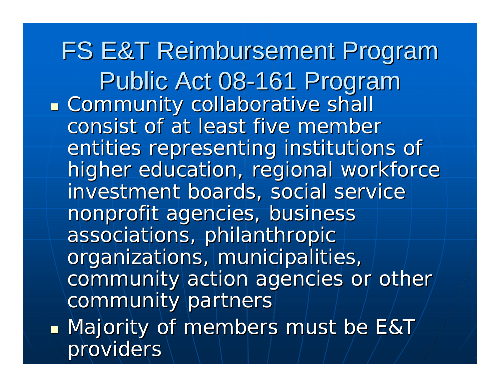FS E&T Reimbursement Program Public Act 08-161 Program **Example 20 Community collaborative shall** consist of at least five member entities representing institutions of higher education, regional workforce investment boards, social service nonprofit agencies, business associations, philanthropic organizations, municipalities, community action agencies or other community partners  $\blacksquare$  Majority of members must be E&T $\!/$ providers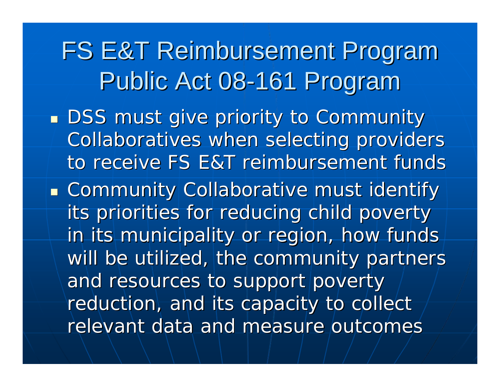у.  $\blacksquare$  DSS must give priority to Community  $\blacksquare$ Collaboratives when selecting providers to receive FS E&T reimbursement funds

**Community Collaborative must identify** its priorities for reducing child poverty in its municipality or region, how funds will be utilized, the community partners and resources to support poverty reduction, and its capacity to collect relevant data and measure outcomes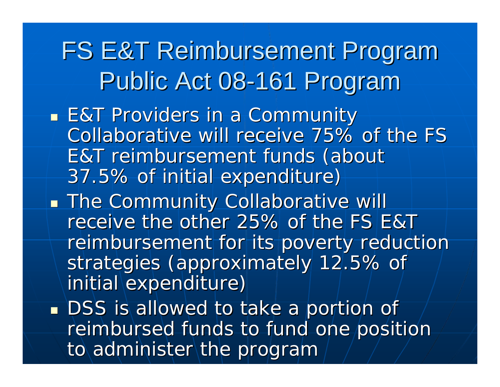- у. **E&T Providers in a Community** Collaborative will receive 75% of the FS E&T reimbursement funds (about 37.5% of initial expenditure) 37.5% of initial expenditure)
- у. **The Community Collaborative will** receive the other 25% of the FS E&T receive the other 25% of the FS E&T reimbursement for its poverty reduction strategies (approximately 12.5% of initial expenditure)
- a.  $\blacksquare$  DSS is allowed to take a portion of reimbursed funds to fund one position to administer the program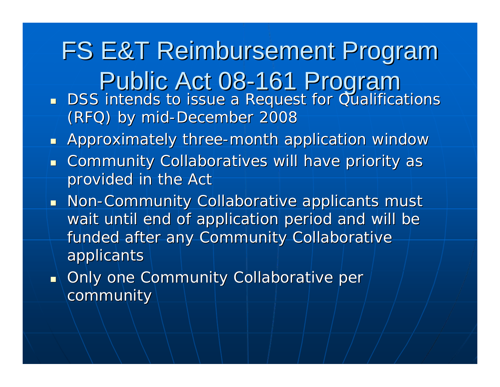FS E&T Reimbursement Program Public Act 08-161 Program DSS intends to issue a Request for Qualifications (RFQ) by mid-December 2008

**• Approximately three-month application window** 

- **Exammunity Collaboratives will have priority as and the Community Collaboratives will have priority as** provided in the Act
- **Non-Community Collaborative applicants must** wait until end of application period and will be funded after any Community Collaborative applicants applicants
- $\textcolor{orange}\blacksquare\setminus$  Only one Community Collaborative per  $\textcolor{orange}\lozenge$ community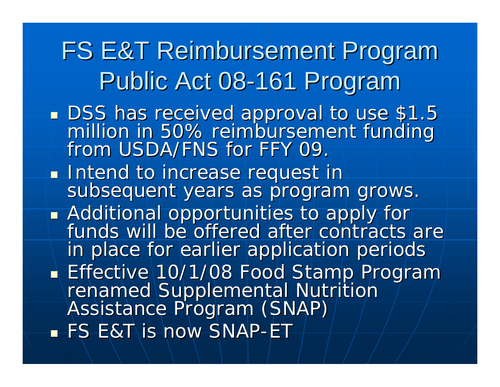FS E&T Reimbursement Program Public Act 08-161 Program **DSS has received approval to use \$1.5** million in 50% reimbursement funding<br>from USDA/FNS for FFY 09. Intend to increase request in subsequent years as program grows. • Additional opportunities to apply for Additional opportunities to apply for<br>Funds will be offered after contracts are in place for earlier application periods Effective 10/1/08 Food Stamp Program Fenamed Supplemental Nutrition<br>Assistance Program (SNAP)  $\blacksquare$  FS E&T is now SNAP-ET